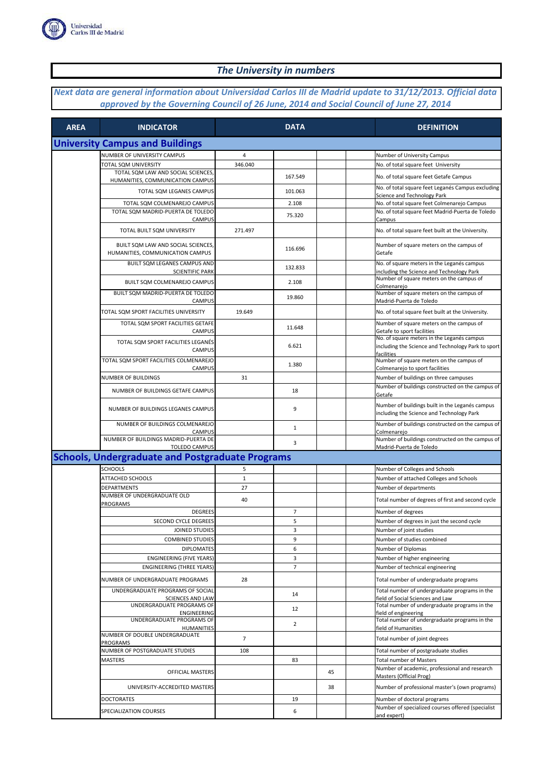

## *The University in numbers*

## *Next data are general information about Universidad Carlos III de Madrid update to 31/12/2013. Official data approved by the Governing Council of 26 June, 2014 and Social Council of June 27, 2014*

| <b>AREA</b> | <b>INDICATOR</b>                                                       |                | <b>DATA</b>    |    |  | <b>DEFINITION</b>                                                                                              |  |  |  |
|-------------|------------------------------------------------------------------------|----------------|----------------|----|--|----------------------------------------------------------------------------------------------------------------|--|--|--|
|             | <b>University Campus and Buildings</b>                                 |                |                |    |  |                                                                                                                |  |  |  |
|             | NUMBER OF UNIVERSITY CAMPUS                                            | 4              |                |    |  | Number of University Campus                                                                                    |  |  |  |
|             | TOTAL SQM UNIVERSITY                                                   | 346.040        |                |    |  | No. of total square feet University                                                                            |  |  |  |
|             | TOTAL SQM LAW AND SOCIAL SCIENCES,<br>HUMANITIES, COMMUNICATION CAMPUS |                | 167.549        |    |  | No. of total square feet Getafe Campus                                                                         |  |  |  |
|             | TOTAL SQM LEGANES CAMPUS                                               |                | 101.063        |    |  | No. of total square feet Leganés Campus excluding<br>Science and Technology Park                               |  |  |  |
|             | TOTAL SQM COLMENAREJO CAMPUS                                           |                | 2.108          |    |  | No. of total square feet Colmenarejo Campus                                                                    |  |  |  |
|             | TOTAL SQM MADRID-PUERTA DE TOLEDO<br>CAMPUS                            |                | 75.320         |    |  | No. of total square feet Madrid-Puerta de Toledo<br>Campus                                                     |  |  |  |
|             | TOTAL BUILT SQM UNIVERSITY                                             | 271.497        |                |    |  | No. of total square feet built at the University.                                                              |  |  |  |
|             | BUILT SQM LAW AND SOCIAL SCIENCES.<br>HUMANITIES, COMMUNICATION CAMPUS |                | 116.696        |    |  | Number of square meters on the campus of<br>Getafe                                                             |  |  |  |
|             | BUILT SQM LEGANES CAMPUS AND<br><b>SCIENTIFIC PARK</b>                 |                | 132.833        |    |  | No. of square meters in the Leganés campus<br>including the Science and Technology Park                        |  |  |  |
|             | BUILT SQM COLMENAREJO CAMPUS                                           |                | 2.108          |    |  | Number of square meters on the campus of<br>Colmenarejo                                                        |  |  |  |
|             | BUILT SQM MADRID-PUERTA DE TOLEDO<br>CAMPUS                            |                | 19.860         |    |  | Number of square meters on the campus of<br>Madrid-Puerta de Toledo                                            |  |  |  |
|             | TOTAL SQM SPORT FACILITIES UNIVERSITY                                  | 19.649         |                |    |  | No. of total square feet built at the University.                                                              |  |  |  |
|             | TOTAL SQM SPORT FACILITIES GETAFE<br>CAMPUS                            |                | 11.648         |    |  | Number of square meters on the campus of<br>Getafe to sport facilities                                         |  |  |  |
|             | TOTAL SQM SPORT FACILITIES LEGANÉS<br><b>CAMPUS</b>                    |                | 6.621          |    |  | No. of square meters in the Leganés campus<br>including the Science and Technology Park to sport<br>facilities |  |  |  |
|             | TOTAL SOM SPORT FACILITIES COLMENAREJO<br>CAMPUS                       |                | 1.380          |    |  | Number of square meters on the campus of<br>Colmenarejo to sport facilities                                    |  |  |  |
|             | NUMBER OF BUILDINGS                                                    | 31             |                |    |  | Number of buildings on three campuses                                                                          |  |  |  |
|             | NUMBER OF BUILDINGS GETAFE CAMPUS                                      |                | 18             |    |  | Number of buildings constructed on the campus of<br>Getafe                                                     |  |  |  |
|             | NUMBER OF BUILDINGS LEGANES CAMPUS                                     |                | 9              |    |  | Number of buildings built in the Leganés campus<br>including the Science and Technology Park                   |  |  |  |
|             | NUMBER OF BUILDINGS COLMENAREJO<br><b>CAMPUS</b>                       |                | $\mathbf{1}$   |    |  | Number of buildings constructed on the campus of<br>Colmenarejo                                                |  |  |  |
|             | NUMBER OF BUILDINGS MADRID-PUERTA DE<br><b>TOLEDO CAMPUS</b>           |                | 3              |    |  | Number of buildings constructed on the campus of<br>Madrid-Puerta de Toledo                                    |  |  |  |
|             | <b>Schools, Undergraduate and Postgraduate Programs</b>                |                |                |    |  |                                                                                                                |  |  |  |
|             | <b>SCHOOLS</b>                                                         | 5              |                |    |  | Number of Colleges and Schools                                                                                 |  |  |  |
|             | ATTACHED SCHOOLS                                                       | $\mathbf{1}$   |                |    |  | Number of attached Colleges and Schools                                                                        |  |  |  |
|             | <b>DEPARTMENTS</b>                                                     | 27             |                |    |  | Number of departments                                                                                          |  |  |  |
|             | NUMBER OF UNDERGRADUATE OLD                                            |                |                |    |  |                                                                                                                |  |  |  |
|             | PROGRAMS<br><b>DEGREES</b>                                             | 40             |                |    |  | Total number of degrees of first and second cycle                                                              |  |  |  |
|             |                                                                        |                | 7              |    |  | Number of degrees                                                                                              |  |  |  |
|             | SECOND CYCLE DEGREES                                                   |                | 5              |    |  | Number of degrees in just the second cycle                                                                     |  |  |  |
|             | JOINED STUDIES                                                         |                | 3              |    |  | Number of joint studies                                                                                        |  |  |  |
|             | <b>COMBINED STUDIES</b>                                                |                | 9              |    |  | Number of studies combined                                                                                     |  |  |  |
|             | <b>DIPLOMATES</b>                                                      |                | 6              |    |  | Number of Diplomas                                                                                             |  |  |  |
|             | <b>ENGINEERING (FIVE YEARS)</b>                                        |                | 3              |    |  | Number of higher engineering                                                                                   |  |  |  |
|             | <b>ENGINEERING (THREE YEARS)</b>                                       |                | $\overline{7}$ |    |  | Number of technical engineering                                                                                |  |  |  |
|             | NUMBER OF UNDERGRADUATE PROGRAMS<br>UNDERGRADUATE PROGRAMS OF SOCIAL   | 28             |                |    |  | Total number of undergraduate programs<br>Total number of undergraduate programs in the                        |  |  |  |
|             | <b>SCIENCES AND LAW</b>                                                |                | 14             |    |  | field of Social Sciences and Law                                                                               |  |  |  |
|             | UNDERGRADUATE PROGRAMS OF<br>ENGINEERING                               |                | 12             |    |  | Total number of undergraduate programs in the<br>field of engineering                                          |  |  |  |
|             | UNDERGRADUATE PROGRAMS OF<br><b>HUMANITIES</b>                         |                | $\overline{2}$ |    |  | Total number of undergraduate programs in the<br>field of Humanities                                           |  |  |  |
|             | NUMBER OF DOUBLE UNDERGRADUATE<br><b>PROGRAMS</b>                      | $\overline{7}$ |                |    |  | Total number of joint degrees                                                                                  |  |  |  |
|             | NUMBER OF POSTGRADUATE STUDIES                                         | 108            |                |    |  | Total number of postgraduate studies                                                                           |  |  |  |
|             | MASTERS                                                                |                | 83             |    |  | <b>Total number of Masters</b>                                                                                 |  |  |  |
|             | OFFICIAL MASTERS                                                       |                |                | 45 |  | Number of academic, professional and research<br>Masters (Official Prog)                                       |  |  |  |
|             | UNIVERSITY-ACCREDITED MASTERS                                          |                |                | 38 |  | Number of professional master's (own programs)                                                                 |  |  |  |
|             | <b>DOCTORATES</b>                                                      |                | 19             |    |  | Number of doctoral programs                                                                                    |  |  |  |
|             | SPECIALIZATION COURSES                                                 |                | 6              |    |  | Number of specialized courses offered (specialist<br>and expert)                                               |  |  |  |
|             |                                                                        |                |                |    |  |                                                                                                                |  |  |  |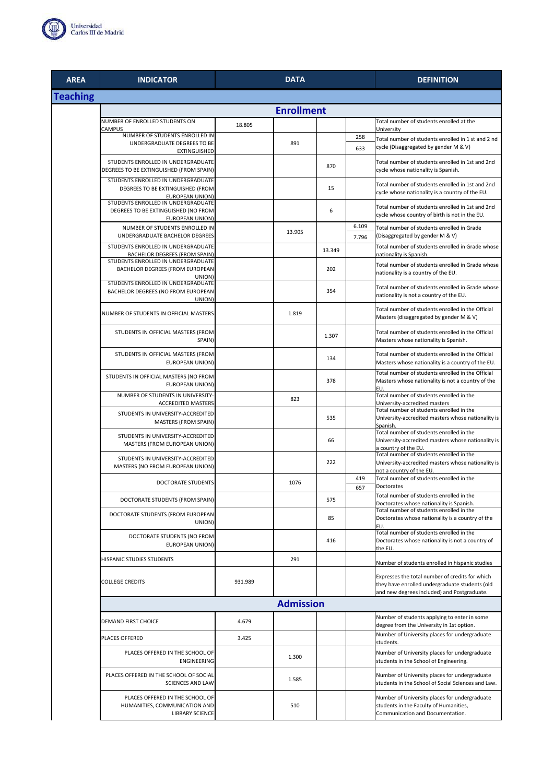

| <b>AREA</b>     | <b>INDICATOR</b>                                                                                    |         | <b>DATA</b>      | <b>DEFINITION</b> |                |                                                                                                                                          |  |  |  |
|-----------------|-----------------------------------------------------------------------------------------------------|---------|------------------|-------------------|----------------|------------------------------------------------------------------------------------------------------------------------------------------|--|--|--|
| <b>Teaching</b> |                                                                                                     |         |                  |                   |                |                                                                                                                                          |  |  |  |
|                 |                                                                                                     |         |                  |                   |                |                                                                                                                                          |  |  |  |
|                 | NUMBER OF ENROLLED STUDENTS ON<br>CAMPUS                                                            | 18.805  |                  |                   |                | Total number of students enrolled at the<br>University                                                                                   |  |  |  |
|                 | NUMBER OF STUDENTS ENROLLED IN<br>UNDERGRADUATE DEGREES TO BE<br>EXTINGUISHED                       |         | 891              |                   | 258<br>633     | Total number of students enrolled in 1 st and 2 nd<br>cycle (Disaggregated by gender M & V)                                              |  |  |  |
|                 | STUDENTS ENROLLED IN UNDERGRADUATE<br>DEGREES TO BE EXTINGUISHED (FROM SPAIN)                       |         |                  | 870               |                | Total number of students enrolled in 1st and 2nd<br>cycle whose nationality is Spanish.                                                  |  |  |  |
|                 | STUDENTS ENROLLED IN UNDERGRADUATE<br>DEGREES TO BE EXTINGUISHED (FROM<br><b>EUROPEAN UNION)</b>    |         |                  | 15                |                | Total number of students enrolled in 1st and 2nd<br>cycle whose nationality is a country of the EU.                                      |  |  |  |
|                 | STUDENTS ENROLLED IN UNDERGRADUATE<br>DEGREES TO BE EXTINGUISHED (NO FROM<br><b>EUROPEAN UNION)</b> |         |                  | 6                 |                | Total number of students enrolled in 1st and 2nd<br>cycle whose country of birth is not in the EU.                                       |  |  |  |
|                 | NUMBER OF STUDENTS ENROLLED IN<br>UNDERGRADUATE BACHELOR DEGREES                                    |         | 13.905           |                   | 6.109<br>7.796 | Total number of students enrolled in Grade<br>(Disaggregated by gender M & V)                                                            |  |  |  |
|                 | STUDENTS ENROLLED IN UNDERGRADUATE<br><b>BACHELOR DEGREES (FROM SPAIN)</b>                          |         |                  | 13.349            |                | Total number of students enrolled in Grade whose<br>nationality is Spanish.                                                              |  |  |  |
|                 | STUDENTS ENROLLED IN UNDERGRADUATE<br>BACHELOR DEGREES (FROM EUROPEAN<br>UNION)                     |         |                  | 202               |                | Total number of students enrolled in Grade whose<br>nationality is a country of the EU.                                                  |  |  |  |
|                 | STUDENTS ENROLLED IN UNDERGRADUATE<br>BACHELOR DEGREES (NO FROM EUROPEAN<br>UNION)                  |         |                  | 354               |                | Total number of students enrolled in Grade whose<br>nationality is not a country of the EU.                                              |  |  |  |
|                 | NUMBER OF STUDENTS IN OFFICIAL MASTERS                                                              |         | 1.819            |                   |                | Total number of students enrolled in the Official<br>Masters (disaggregated by gender M & V)                                             |  |  |  |
|                 | STUDENTS IN OFFICIAL MASTERS (FROM<br>SPAIN)                                                        |         |                  | 1.307             |                | Total number of students enrolled in the Official<br>Masters whose nationality is Spanish.                                               |  |  |  |
|                 | STUDENTS IN OFFICIAL MASTERS (FROM<br><b>EUROPEAN UNION)</b>                                        |         |                  | 134               |                | Total number of students enrolled in the Official<br>Masters whose nationality is a country of the EU.                                   |  |  |  |
|                 | STUDENTS IN OFFICIAL MASTERS (NO FROM<br><b>EUROPEAN UNION)</b>                                     |         |                  | 378               |                | Total number of students enrolled in the Official<br>Masters whose nationality is not a country of the<br>EU.                            |  |  |  |
|                 | NUMBER OF STUDENTS IN UNIVERSITY-<br><b>ACCREDITED MASTERS</b>                                      |         | 823              |                   |                | Total number of students enrolled in the<br>University-accredited masters                                                                |  |  |  |
|                 | STUDENTS IN UNIVERSITY-ACCREDITED<br><b>MASTERS (FROM SPAIN)</b>                                    |         |                  | 535               |                | Total number of students enrolled in the<br>University-accredited masters whose nationality is<br>Spanish.                               |  |  |  |
|                 | STUDENTS IN UNIVERSITY-ACCREDITED<br>MASTERS (FROM EUROPEAN UNION)                                  |         |                  | 66                |                | Total number of students enrolled in the<br>University-accredited masters whose nationality is<br>a country of the EU.                   |  |  |  |
|                 | STUDENTS IN UNIVERSITY-ACCREDITED<br>MASTERS (NO FROM EUROPEAN UNION)                               |         |                  | 222               |                | Total number of students enrolled in the<br>University-accredited masters whose nationality is<br>not a country of the EU.               |  |  |  |
|                 | <b>DOCTORATE STUDENTS</b>                                                                           |         | 1076             |                   | 419<br>657     | Total number of students enrolled in the<br>Doctorates                                                                                   |  |  |  |
|                 | DOCTORATE STUDENTS (FROM SPAIN)                                                                     |         |                  | 575               |                | Total number of students enrolled in the                                                                                                 |  |  |  |
|                 | DOCTORATE STUDENTS (FROM EUROPEAN<br>UNION)                                                         |         |                  | 85                |                | Doctorates whose nationality is Spanish.<br>Total number of students enrolled in the<br>Doctorates whose nationality is a country of the |  |  |  |
|                 | DOCTORATE STUDENTS (NO FROM<br><b>EUROPEAN UNION)</b>                                               |         |                  | 416               |                | EU.<br>Total number of students enrolled in the<br>Doctorates whose nationality is not a country of<br>the EU.                           |  |  |  |
|                 | HISPANIC STUDIES STUDENTS                                                                           |         | 291              |                   |                | Number of students enrolled in hispanic studies                                                                                          |  |  |  |
|                 | <b>COLLEGE CREDITS</b>                                                                              | 931.989 |                  |                   |                | Expresses the total number of credits for which<br>they have enrolled undergraduate students (old                                        |  |  |  |
|                 |                                                                                                     |         | <b>Admission</b> |                   |                | and new degrees included) and Postgraduate.                                                                                              |  |  |  |
|                 | DEMAND FIRST CHOICE                                                                                 | 4.679   |                  |                   |                | Number of students applying to enter in some<br>degree from the University in 1st option.                                                |  |  |  |
|                 | PLACES OFFERED                                                                                      | 3.425   |                  |                   |                | Number of University places for undergraduate<br>students.                                                                               |  |  |  |
|                 | PLACES OFFERED IN THE SCHOOL OF<br>ENGINEERING                                                      |         | 1.300            |                   |                | Number of University places for undergraduate<br>students in the School of Engineering.                                                  |  |  |  |
|                 | PLACES OFFERED IN THE SCHOOL OF SOCIAL<br><b>SCIENCES AND LAW</b>                                   |         | 1.585            |                   |                | Number of University places for undergraduate<br>students in the School of Social Sciences and Law.                                      |  |  |  |
|                 | PLACES OFFERED IN THE SCHOOL OF<br>HUMANITIES, COMMUNICATION AND<br><b>LIBRARY SCIENCE</b>          |         | 510              |                   |                | Number of University places for undergraduate<br>students in the Faculty of Humanities,<br>Communication and Documentation.              |  |  |  |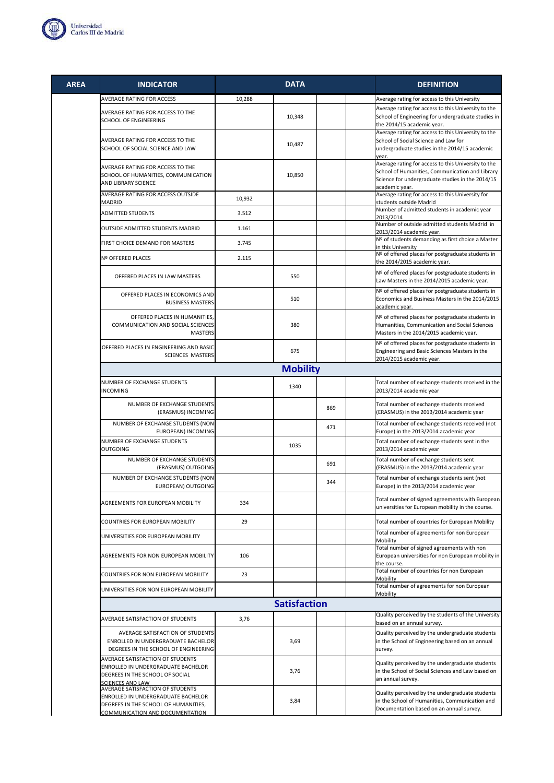

| <b>AREA</b> | <b>INDICATOR</b>                                                                                                                     |        | <b>DATA</b>         |     | <b>DEFINITION</b>                                                                                                                                                            |
|-------------|--------------------------------------------------------------------------------------------------------------------------------------|--------|---------------------|-----|------------------------------------------------------------------------------------------------------------------------------------------------------------------------------|
|             | AVERAGE RATING FOR ACCESS                                                                                                            | 10,288 |                     |     | Average rating for access to this University                                                                                                                                 |
|             | AVERAGE RATING FOR ACCESS TO THE<br>SCHOOL OF ENGINEERING                                                                            |        | 10,348              |     | Average rating for access to this University to the<br>School of Engineering for undergraduate studies in<br>the 2014/15 academic year.                                      |
|             | AVERAGE RATING FOR ACCESS TO THE<br>SCHOOL OF SOCIAL SCIENCE AND LAW                                                                 |        | 10,487              |     | Average rating for access to this University to the<br>School of Social Science and Law for<br>undergraduate studies in the 2014/15 academic<br>year.                        |
|             | AVERAGE RATING FOR ACCESS TO THE<br>SCHOOL OF HUMANITIES, COMMUNICATION<br>AND LIBRARY SCIENCE                                       |        | 10,850              |     | Average rating for access to this University to the<br>School of Humanities, Communication and Library<br>Science for undergraduate studies in the 2014/15<br>academic year. |
|             | AVERAGE RATING FOR ACCESS OUTSIDE<br>MADRID                                                                                          | 10,932 |                     |     | Average rating for access to this University for<br>students outside Madrid                                                                                                  |
|             | <b>ADMITTED STUDENTS</b>                                                                                                             | 3.512  |                     |     | Number of admitted students in academic year<br>2013/2014                                                                                                                    |
|             | OUTSIDE ADMITTED STUDENTS MADRID                                                                                                     | 1.161  |                     |     | Number of outside admitted students Madrid in<br>2013/2014 academic year.                                                                                                    |
|             | FIRST CHOICE DEMAND FOR MASTERS                                                                                                      | 3.745  |                     |     | Nº of students demanding as first choice a Master<br>in this University                                                                                                      |
|             | Nº OFFERED PLACES                                                                                                                    | 2.115  |                     |     | Nº of offered places for postgraduate students in<br>the 2014/2015 academic year.                                                                                            |
|             | OFFERED PLACES IN LAW MASTERS                                                                                                        |        | 550                 |     | Nº of offered places for postgraduate students in<br>Law Masters in the 2014/2015 academic year.                                                                             |
|             | OFFERED PLACES IN ECONOMICS AND<br><b>BUSINESS MASTERS</b>                                                                           |        | 510                 |     | Nº of offered places for postgraduate students in<br>Economics and Business Masters in the 2014/2015<br>academic vear.                                                       |
|             | OFFERED PLACES IN HUMANITIES,<br>COMMUNICATION AND SOCIAL SCIENCES<br><b>MASTERS</b>                                                 |        | 380                 |     | Nº of offered places for postgraduate students in<br>Humanities, Communication and Social Sciences<br>Masters in the 2014/2015 academic year.                                |
|             | OFFERED PLACES IN ENGINEERING AND BASIC<br><b>SCIENCES MASTERS</b>                                                                   |        | 675                 |     | Nº of offered places for postgraduate students in<br>Engineering and Basic Sciences Masters in the<br>2014/2015 academic year.                                               |
|             |                                                                                                                                      |        | <b>Mobility</b>     |     |                                                                                                                                                                              |
|             | NUMBER OF EXCHANGE STUDENTS<br><b>INCOMING</b>                                                                                       |        | 1340                |     | Total number of exchange students received in the<br>2013/2014 academic year                                                                                                 |
|             | NUMBER OF EXCHANGE STUDENTS<br>(ERASMUS) INCOMING                                                                                    |        |                     | 869 | Total number of exchange students received<br>(ERASMUS) in the 2013/2014 academic year                                                                                       |
|             | NUMBER OF EXCHANGE STUDENTS (NON<br>EUROPEAN) INCOMING                                                                               |        |                     | 471 | Total number of exchange students received (not<br>Europe) in the 2013/2014 academic year                                                                                    |
|             | NUMBER OF EXCHANGE STUDENTS<br><b>OUTGOING</b>                                                                                       |        | 1035                |     | Total number of exchange students sent in the<br>2013/2014 academic year                                                                                                     |
|             | NUMBER OF EXCHANGE STUDENTS<br>(ERASMUS) OUTGOING                                                                                    |        |                     | 691 | Total number of exchange students sent<br>(ERASMUS) in the 2013/2014 academic year                                                                                           |
|             | NUMBER OF EXCHANGE STUDENTS (NON<br>EUROPEAN) OUTGOING                                                                               |        |                     | 344 | Total number of exchange students sent (not<br>Europe) in the 2013/2014 academic year                                                                                        |
|             | AGREEMENTS FOR EUROPEAN MOBILITY                                                                                                     | 334    |                     |     | Total number of signed agreements with European<br>universities for European mobility in the course.                                                                         |
|             | COUNTRIES FOR EUROPEAN MOBILITY                                                                                                      | 29     |                     |     | Total number of countries for European Mobility                                                                                                                              |
|             | UNIVERSITIES FOR EUROPEAN MOBILITY                                                                                                   |        |                     |     | Total number of agreements for non European<br>Mobility                                                                                                                      |
|             | <b>AGREEMENTS FOR NON EUROPEAN MOBILITY</b>                                                                                          | 106    |                     |     | Total number of signed agreements with non<br>European universities for non European mobility in<br>the course.                                                              |
|             | COUNTRIES FOR NON EUROPEAN MOBILITY                                                                                                  | 23     |                     |     | Total number of countries for non European<br>Mobility                                                                                                                       |
|             | UNIVERSITIES FOR NON EUROPEAN MOBILITY                                                                                               |        |                     |     | Total number of agreements for non European<br>Mobility                                                                                                                      |
|             |                                                                                                                                      |        | <b>Satisfaction</b> |     |                                                                                                                                                                              |
|             | AVERAGE SATISFACTION OF STUDENTS                                                                                                     | 3,76   |                     |     | Quality perceived by the students of the University<br>based on an annual survey.                                                                                            |
|             | AVERAGE SATISFACTION OF STUDENTS<br>ENROLLED IN UNDERGRADUATE BACHELOR<br>DEGREES IN THE SCHOOL OF ENGINEERING                       |        | 3,69                |     | Quality perceived by the undergraduate students<br>in the School of Engineering based on an annual<br>survey.                                                                |
|             | AVERAGE SATISFACTION OF STUDENTS<br>ENROLLED IN UNDERGRADUATE BACHELOR<br>DEGREES IN THE SCHOOL OF SOCIAL<br><b>SCIENCES AND LAW</b> |        | 3,76                |     | Quality perceived by the undergraduate students<br>in the School of Social Sciences and Law based on<br>an annual survey.                                                    |
|             | AVERAGE SATISFACTION OF STUDENTS                                                                                                     |        |                     |     |                                                                                                                                                                              |

ENROLLED IN UNDERGRADUATE BACHELOR DEGREES IN THE SCHOOL OF HUMANITIES, COMMUNICATION AND DOCUMENTATION 3,84 Quality perceived by the undergraduate students in the School of Humanities, Communication and Documentation based on an annual survey.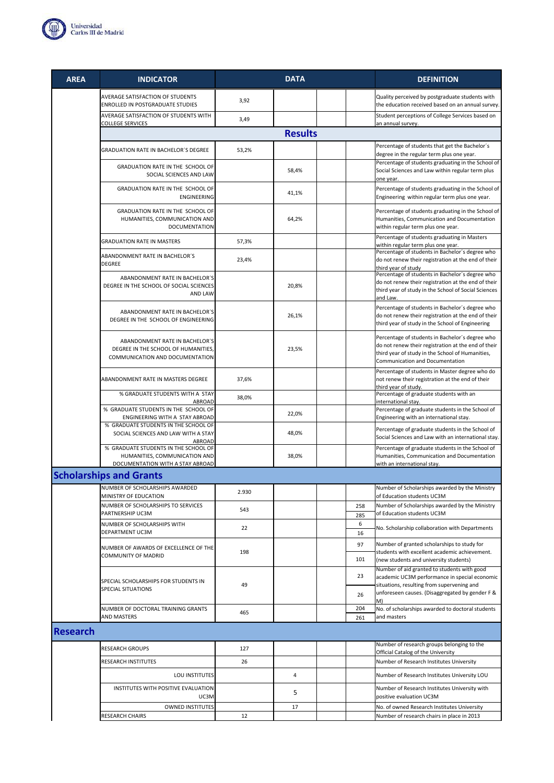

| <b>AREA</b>     | <b>INDICATOR</b>                                                                                          |       | <b>DATA</b>    |            | <b>DEFINITION</b>                                                                                                                                                                             |
|-----------------|-----------------------------------------------------------------------------------------------------------|-------|----------------|------------|-----------------------------------------------------------------------------------------------------------------------------------------------------------------------------------------------|
|                 | AVERAGE SATISFACTION OF STUDENTS<br>ENROLLED IN POSTGRADUATE STUDIES                                      | 3,92  |                |            | Quality perceived by postgraduate students with<br>the education received based on an annual survey.                                                                                          |
|                 | AVERAGE SATISFACTION OF STUDENTS WITH<br><b>COLLEGE SERVICES</b>                                          | 3,49  |                |            | Student perceptions of College Services based on<br>an annual survey.                                                                                                                         |
|                 |                                                                                                           |       | <b>Results</b> |            |                                                                                                                                                                                               |
|                 | <b>GRADUATION RATE IN BACHELOR'S DEGREE</b>                                                               | 53,2% |                |            | Percentage of students that get the Bachelor's<br>degree in the regular term plus one year.                                                                                                   |
|                 | GRADUATION RATE IN THE SCHOOL OF<br>SOCIAL SCIENCES AND LAW                                               |       | 58,4%          |            | Percentage of students graduating in the School of<br>Social Sciences and Law within regular term plus                                                                                        |
|                 | GRADUATION RATE IN THE SCHOOL OF<br><b>ENGINEERING</b>                                                    |       | 41,1%          |            | one year.<br>Percentage of students graduating in the School of<br>Engineering within regular term plus one year.                                                                             |
|                 | GRADUATION RATE IN THE SCHOOL OF<br>HUMANITIES, COMMUNICATION AND<br><b>DOCUMENTATION</b>                 |       | 64,2%          |            | Percentage of students graduating in the School of<br>Humanities, Communication and Documentation<br>within regular term plus one year.                                                       |
|                 | <b>GRADUATION RATE IN MASTERS</b>                                                                         | 57,3% |                |            | Percentage of students graduating in Masters<br>within regular term plus one year.                                                                                                            |
|                 | ABANDONMENT RATE IN BACHELOR'S<br><b>DEGREE</b>                                                           | 23,4% |                |            | Percentage of students in Bachelor's degree who<br>do not renew their registration at the end of their<br>third year of study                                                                 |
|                 | ABANDONMENT RATE IN BACHELOR'S<br>DEGREE IN THE SCHOOL OF SOCIAL SCIENCES<br>AND LAW                      |       | 20,8%          |            | Percentage of students in Bachelor's degree who<br>do not renew their registration at the end of their<br>third year of study in the School of Social Sciences<br>and Law.                    |
|                 | ABANDONMENT RATE IN BACHELOR'S<br>DEGREE IN THE SCHOOL OF ENGINEERING                                     |       | 26,1%          |            | Percentage of students in Bachelor's degree who<br>do not renew their registration at the end of their<br>third year of study in the School of Engineering                                    |
|                 | ABANDONMENT RATE IN BACHELOR'S<br>DEGREE IN THE SCHOOL OF HUMANITIES,<br>COMMUNICATION AND DOCUMENTATION  |       | 23,5%          |            | Percentage of students in Bachelor's degree who<br>do not renew their registration at the end of their<br>third year of study in the School of Humanities,<br>Communication and Documentation |
|                 | ABANDONMENT RATE IN MASTERS DEGREE                                                                        | 37,6% |                |            | Percentage of students in Master degree who do<br>not renew their registration at the end of their<br>third year of study.                                                                    |
|                 | % GRADUATE STUDENTS WITH A STAY<br>ABROAD                                                                 | 38,0% |                |            | Percentage of graduate students with an<br>international stay.                                                                                                                                |
|                 | % GRADUATE STUDENTS IN THE SCHOOL OF<br>ENGINEERING WITH A STAY ABROAD                                    |       | 22,0%          |            | Percentage of graduate students in the School of<br>Engineering with an international stay.                                                                                                   |
|                 | % GRADUATE STUDENTS IN THE SCHOOL OF<br>SOCIAL SCIENCES AND LAW WITH A STAY<br><b>ABROAD</b>              |       | 48,0%          |            | Percentage of graduate students in the School of<br>Social Sciences and Law with an international stay.                                                                                       |
|                 | % GRADUATE STUDENTS IN THE SCHOOL OF<br>HUMANITIES, COMMUNICATION AND<br>DOCUMENTATION WITH A STAY ABROAD |       | 38,0%          |            | Percentage of graduate students in the School of<br>Humanities, Communication and Documentation<br>with an international stay.                                                                |
|                 | <b>Scholarships and Grants</b>                                                                            |       |                |            |                                                                                                                                                                                               |
|                 | NUMBER OF SCHOLARSHIPS AWARDED<br>MINISTRY OF EDUCATION                                                   | 2.930 |                |            | Number of Scholarships awarded by the Ministry<br>of Education students UC3M                                                                                                                  |
|                 | NUMBER OF SCHOLARSHIPS TO SERVICES<br>PARTNERSHIP UC3M                                                    | 543   |                | 258<br>285 | Number of Scholarships awarded by the Ministry<br>of Education students UC3M                                                                                                                  |
|                 | NUMBER OF SCHOLARSHIPS WITH<br>DEPARTMENT UC3M                                                            | 22    |                | 6<br>16    | No. Scholarship collaboration with Departments                                                                                                                                                |
|                 | NUMBER OF AWARDS OF EXCELLENCE OF THE                                                                     | 198   |                | 97         | Number of granted scholarships to study for<br>students with excellent academic achievement.                                                                                                  |
|                 | COMMUNITY OF MADRID                                                                                       |       |                | 101        | (new students and university students)<br>Number of aid granted to students with good                                                                                                         |
|                 | SPECIAL SCHOLARSHIPS FOR STUDENTS IN<br>SPECIAL SITUATIONS                                                | 49    |                | 23<br>26   | academic UC3M performance in special economic<br>situations, resulting from supervening and<br>unforeseen causes. (Disaggregated by gender F &                                                |
|                 | NUMBER OF DOCTORAL TRAINING GRANTS<br>AND MASTERS                                                         | 465   |                | 204<br>261 | No. of scholarships awarded to doctoral students<br>and masters                                                                                                                               |
| <b>Research</b> |                                                                                                           |       |                |            |                                                                                                                                                                                               |
|                 | <b>RESEARCH GROUPS</b>                                                                                    | 127   |                |            | Number of research groups belonging to the                                                                                                                                                    |
|                 | RESEARCH INSTITUTES                                                                                       | 26    |                |            | Official Catalog of the University<br>Number of Research Institutes University                                                                                                                |
|                 | LOU INSTITUTES                                                                                            |       | 4              |            | Number of Research Institutes University LOU                                                                                                                                                  |
|                 | INSTITUTES WITH POSITIVE EVALUATION<br>UC3M                                                               |       | 5              |            | Number of Research Institutes University with<br>positive evaluation UC3M                                                                                                                     |
|                 | <b>OWNED INSTITUTES</b>                                                                                   |       | 17             |            | No. of owned Research Institutes University                                                                                                                                                   |
|                 | RESEARCH CHAIRS                                                                                           | 12    |                |            | Number of research chairs in place in 2013                                                                                                                                                    |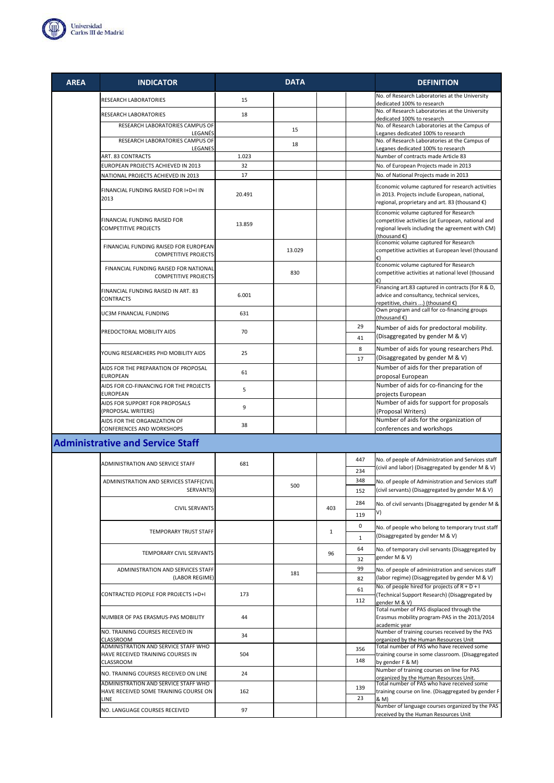

| <b>AREA</b> | <b>INDICATOR</b>                                                              |        | <b>DATA</b> |              |                   | <b>DEFINITION</b>                                                                                                                                                                                    |
|-------------|-------------------------------------------------------------------------------|--------|-------------|--------------|-------------------|------------------------------------------------------------------------------------------------------------------------------------------------------------------------------------------------------|
|             | RESEARCH LABORATORIES                                                         | 15     |             |              |                   | No. of Research Laboratories at the University<br>dedicated 100% to research                                                                                                                         |
|             | RESEARCH LABORATORIES                                                         | 18     |             |              |                   | No. of Research Laboratories at the University<br>dedicated 100% to research                                                                                                                         |
|             | RESEARCH LABORATORIES CAMPUS OF                                               |        | 15          |              |                   | No. of Research Laboratories at the Campus of                                                                                                                                                        |
|             | LEGANÉS<br>RESEARCH LABORATORIES CAMPUS OF                                    |        | 18          |              |                   | Leganes dedicated 100% to research<br>No. of Research Laboratories at the Campus of                                                                                                                  |
|             | LEGANES<br>ART. 83 CONTRACTS                                                  | 1.023  |             |              |                   | Leganes dedicated 100% to research<br>Number of contracts made Article 83                                                                                                                            |
|             | EUROPEAN PROJECTS ACHIEVED IN 2013                                            | 32     |             |              |                   | No. of European Projects made in 2013                                                                                                                                                                |
|             | NATIONAL PROJECTS ACHIEVED IN 2013                                            | 17     |             |              |                   | No. of National Projects made in 2013                                                                                                                                                                |
|             | FINANCIAL FUNDING RAISED FOR I+D+I IN<br>2013                                 | 20.491 |             |              |                   | Economic volume captured for research activities<br>in 2013. Projects include European, national,<br>regional, proprietary and art. 83 (thousand €)                                                  |
|             | FINANCIAL FUNDING RAISED FOR<br><b>COMPETITIVE PROJECTS</b>                   | 13.859 |             |              |                   | Economic volume captured for Research<br>competitive activities (at European, national and<br>regional levels including the agreement with CM)<br>(Housand)<br>Economic volume captured for Research |
|             | FINANCIAL FUNDING RAISED FOR EUROPEAN<br><b>COMPETITIVE PROJECTS</b>          |        | 13.029      |              |                   | competitive activities at European level (thousand<br>€                                                                                                                                              |
|             | FINANCIAL FUNDING RAISED FOR NATIONAL<br><b>COMPETITIVE PROJECTS</b>          |        | 830         |              |                   | Economic volume captured for Research<br>competitive activities at national level (thousand<br>€                                                                                                     |
|             | FINANCIAL FUNDING RAISED IN ART. 83<br><b>CONTRACTS</b>                       | 6.001  |             |              |                   | Financing art.83 captured in contracts (for R & D,<br>advice and consultancy, technical services,<br>repetitive, chairs ) (thousand €)                                                               |
|             | UC3M FINANCIAL FUNDING                                                        | 631    |             |              |                   | Own program and call for co-financing groups<br>(thousand €)                                                                                                                                         |
|             | PREDOCTORAL MOBILITY AIDS                                                     | 70     |             |              | 29                | Number of aids for predoctoral mobility.                                                                                                                                                             |
|             |                                                                               |        |             |              | 41                | (Disaggregated by gender M & V)                                                                                                                                                                      |
|             | YOUNG RESEARCHERS PHD MOBILITY AIDS                                           | 25     |             |              | 8<br>17           | Number of aids for young researchers Phd.<br>(Disaggregated by gender M & V)                                                                                                                         |
|             | AIDS FOR THE PREPARATION OF PROPOSAL<br><b>EUROPEAN</b>                       | 61     |             |              |                   | Number of aids for ther preparation of<br>proposal European                                                                                                                                          |
|             | AIDS FOR CO-FINANCING FOR THE PROJECTS<br><b>EUROPEAN</b>                     | 5      |             |              |                   | Number of aids for co-financing for the<br>projects European                                                                                                                                         |
|             | AIDS FOR SUPPORT FOR PROPOSALS<br>(PROPOSAL WRITERS)                          | 9      |             |              |                   | Number of aids for support for proposals<br>(Proposal Writers)                                                                                                                                       |
|             | AIDS FOR THE ORGANIZATION OF<br>CONFERENCES AND WORKSHOPS                     | 38     |             |              |                   | Number of aids for the organization of<br>conferences and workshops                                                                                                                                  |
|             | <b>Administrative and Service Staff</b>                                       |        |             |              |                   |                                                                                                                                                                                                      |
|             |                                                                               |        |             |              | 447               | No. of people of Administration and Services staff                                                                                                                                                   |
|             | ADMINISTRATION AND SERVICE STAFF                                              | 681    |             |              | 234               | (civil and labor) (Disaggregated by gender M & V)                                                                                                                                                    |
|             | ADMINISTRATION AND SERVICES STAFF(CIVIL                                       |        |             |              | 348               | No. of people of Administration and Services staff                                                                                                                                                   |
|             | SERVANTS)                                                                     |        | 500         |              | 152               | (civil servants) (Disaggregated by gender M & V)                                                                                                                                                     |
|             | <b>CIVIL SERVANTS</b>                                                         |        |             | 403          | 284               | No. of civil servants (Disaggregated by gender M &                                                                                                                                                   |
|             |                                                                               |        |             |              | 119               | V)                                                                                                                                                                                                   |
|             | <b>TEMPORARY TRUST STAFF</b>                                                  |        |             | $\mathbf{1}$ | 0<br>$\mathbf{1}$ | No. of people who belong to temporary trust staff<br>(Disaggregated by gender M & V)                                                                                                                 |
|             | TEMPORARY CIVIL SERVANTS                                                      |        |             | 96           | 64                | No. of temporary civil servants (Disaggregated by                                                                                                                                                    |
|             |                                                                               |        |             |              | 32                | gender M & V)                                                                                                                                                                                        |
|             | ADMINISTRATION AND SERVICES STAFF<br>(LABOR REGIME)                           |        | 181         |              | 99<br>82          | No. of people of administration and services staff<br>(labor regime) (Disaggregated by gender M & V)                                                                                                 |
|             | CONTRACTED PEOPLE FOR PROJECTS I+D+I                                          | 173    |             |              | 61<br>112         | No. of people hired for projects of $R + D + I$<br>(Technical Support Research) (Disaggregated by<br>gender M & V)                                                                                   |
|             | NUMBER OF PAS ERASMUS-PAS MOBILITY                                            | 44     |             |              |                   | Total number of PAS displaced through the<br>Erasmus mobility program-PAS in the 2013/2014<br>academic year                                                                                          |
|             | NO. TRAINING COURSES RECEIVED IN<br><b>CLASSROOM</b>                          | 34     |             |              |                   | Number of training courses received by the PAS<br>organized by the Human Resources Unit                                                                                                              |
|             | ADMINISTRATION AND SERVICE STAFF WHO                                          |        |             |              | 356               | Total number of PAS who have received some                                                                                                                                                           |
|             | HAVE RECEIVED TRAINING COURSES IN<br><b>CLASSROOM</b>                         | 504    |             |              | 148               | training course in some classroom. (Disaggregated<br>by gender F & M)                                                                                                                                |
|             | NO. TRAINING COURSES RECEIVED ON LINE                                         | 24     |             |              |                   | Number of training courses on line for PAS<br>organized by the Human Resources Unit.                                                                                                                 |
|             | ADMINISTRATION AND SERVICE STAFF WHO<br>HAVE RECEIVED SOME TRAINING COURSE ON | 162    |             |              | 139               | Total number of PAS who have received some<br>training course on line. (Disaggregated by gender F                                                                                                    |
|             | LINE                                                                          |        |             |              | 23                | & M)                                                                                                                                                                                                 |
|             | NO. LANGUAGE COURSES RECEIVED                                                 | 97     |             |              |                   | Number of language courses organized by the PAS<br>received by the Human Resources Unit                                                                                                              |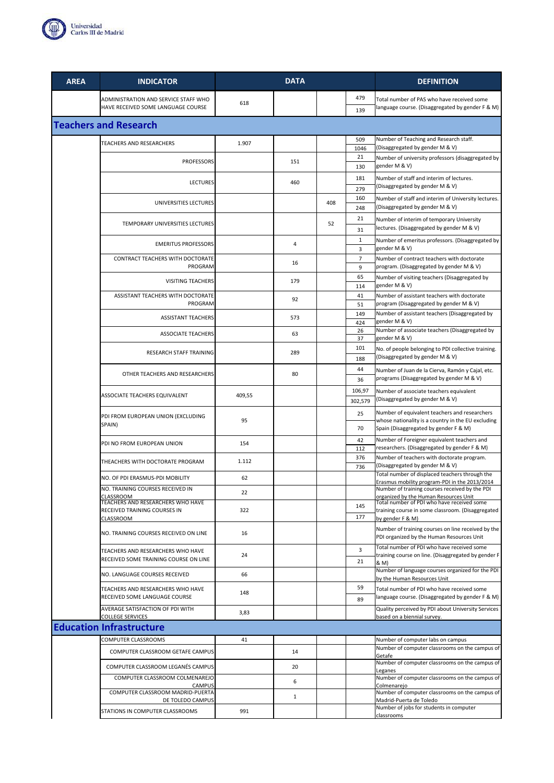

|                              | ADMINISTRATION AND SERVICE STAFF WHO<br>HAVE RECEIVED SOME LANGUAGE COURSE         | 618    |              |     | 479<br>139           | Total number of PAS who have received some<br>language course. (Disaggregated by gender F & M)                                               |  |  |
|------------------------------|------------------------------------------------------------------------------------|--------|--------------|-----|----------------------|----------------------------------------------------------------------------------------------------------------------------------------------|--|--|
| <b>Teachers and Research</b> |                                                                                    |        |              |     |                      |                                                                                                                                              |  |  |
|                              | TEACHERS AND RESEARCHERS                                                           | 1.907  |              |     | 509<br>1046          | Number of Teaching and Research staff.<br>(Disaggregated by gender M & V)                                                                    |  |  |
|                              | <b>PROFESSORS</b>                                                                  |        | 151          |     | 21<br>130            | Number of university professors (disaggregated by<br>gender M & V)                                                                           |  |  |
|                              | <b>LECTURES</b>                                                                    |        | 460          |     | 181<br>279           | Number of staff and interim of lectures.<br>(Disaggregated by gender M & V)                                                                  |  |  |
|                              | UNIVERSITIES LECTURES                                                              |        |              | 408 | 160<br>248           | Number of staff and interim of University lectures.<br>(Disaggregated by gender M & V)                                                       |  |  |
|                              | TEMPORARY UNIVERSITIES LECTURES                                                    |        |              | 52  | 21<br>31             | Number of interim of temporary University<br>lectures. (Disaggregated by gender M & V)                                                       |  |  |
|                              | <b>EMERITUS PROFESSORS</b>                                                         |        | 4            |     | $\mathbf{1}$<br>3    | Number of emeritus professors. (Disaggregated by<br>gender M & V)                                                                            |  |  |
|                              | CONTRACT TEACHERS WITH DOCTORATE<br>PROGRAM                                        |        | 16           |     | $\overline{7}$<br>9  | Number of contract teachers with doctorate<br>program. (Disaggregated by gender M & V)                                                       |  |  |
|                              | <b>VISITING TEACHERS</b>                                                           |        | 179          |     | 65<br>114            | Number of visiting teachers (Disaggregated by<br>gender M & V)                                                                               |  |  |
|                              | ASSISTANT TEACHERS WITH DOCTORATE<br>PROGRAM                                       |        | 92           |     | 41<br>51             | Number of assistant teachers with doctorate<br>program (Disaggregated by gender M & V)                                                       |  |  |
|                              | <b>ASSISTANT TEACHERS</b>                                                          |        | 573          |     | 149<br>424           | Number of assistant teachers (Disaggregated by<br>gender M & V)                                                                              |  |  |
|                              | <b>ASSOCIATE TEACHERS</b>                                                          |        | 63           |     | 26<br>37             | Number of associate teachers (Disaggregated by<br>gender M & V)                                                                              |  |  |
|                              | RESEARCH STAFF TRAINING                                                            |        | 289          |     | 101<br>188           | No. of people belonging to PDI collective training.<br>(Disaggregated by gender M & V)                                                       |  |  |
|                              | OTHER TEACHERS AND RESEARCHERS                                                     |        | 80           |     | 44<br>36             | Number of Juan de la Cierva, Ramón y Cajal, etc.<br>programs (Disaggregated by gender M & V)                                                 |  |  |
|                              | ASSOCIATE TEACHERS EQUIVALENT                                                      | 409,55 |              |     | 106,97<br>302,579    | Number of associate teachers equivalent<br>(Disaggregated by gender M & V)                                                                   |  |  |
|                              | PDI FROM EUROPEAN UNION (EXCLUDING<br>SPAIN)                                       | 95     |              |     | 25<br>70             | Number of equivalent teachers and researchers<br>whose nationality is a country in the EU excluding<br>Spain (Disaggregated by gender F & M) |  |  |
|                              | PDI NO FROM EUROPEAN UNION                                                         | 154    |              |     | 42<br>112            | Number of Foreigner equivalent teachers and<br>researchers. (Disaggregated by gender F & M)                                                  |  |  |
|                              | THEACHERS WITH DOCTORATE PROGRAM                                                   | 1.112  |              |     | 376<br>736           | Number of teachers with doctorate program.<br>(Disaggregated by gender M & V)                                                                |  |  |
|                              | NO. OF PDI ERASMUS-PDI MOBILITY                                                    | 62     |              |     |                      | Total number of displaced teachers through the<br>Erasmus mobility program-PDI in the 2013/2014                                              |  |  |
|                              | NO. TRAINING COURSES RECEIVED IN<br>CLASSROOM<br>TEACHERS AND RESEARCHERS WHO HAVE | 22     |              |     |                      | Number of training courses received by the PDI<br>organized by the Human Resources Unit<br>Total number of PDI who have received some        |  |  |
|                              | RECEIVED TRAINING COURSES IN<br>CLASSROOM                                          | 322    |              |     | 145<br>177           | training course in some classroom. (Disaggregated<br>by gender F & M)                                                                        |  |  |
|                              | NO. TRAINING COURSES RECEIVED ON LINE                                              | 16     |              |     |                      | Number of training courses on line received by the<br>PDI organized by the Human Resources Unit                                              |  |  |
|                              | TEACHERS AND RESEARCHERS WHO HAVE<br>RECEIVED SOME TRAINING COURSE ON LINE         | 24     |              |     | $\overline{3}$<br>21 | Total number of PDI who have received some<br>training course on line. (Disaggregated by gender F<br>& M)                                    |  |  |
|                              | NO. LANGUAGE COURSES RECEIVED                                                      | 66     |              |     |                      | Number of language courses organized for the PDI<br>by the Human Resources Unit                                                              |  |  |
|                              | TEACHERS AND RESEARCHERS WHO HAVE<br>RECEIVED SOME LANGUAGE COURSE                 | 148    |              |     | 59<br>89             | Total number of PDI who have received some<br>language course. (Disaggregated by gender F & M)                                               |  |  |
|                              | AVERAGE SATISFACTION OF PDI WITH<br><b>COLLEGE SERVICES</b>                        | 3,83   |              |     |                      | Quality perceived by PDI about University Services<br>based on a biennial survey.                                                            |  |  |
|                              | <b>Education Infrastructure</b>                                                    |        |              |     |                      |                                                                                                                                              |  |  |
|                              | COMPUTER CLASSROOMS                                                                | 41     |              |     |                      | Number of computer labs on campus                                                                                                            |  |  |
|                              | COMPUTER CLASSROOM GETAFE CAMPUS                                                   |        | 14           |     |                      | Number of computer classrooms on the campus of<br>Getafe                                                                                     |  |  |
|                              | COMPUTER CLASSROOM LEGANÉS CAMPUS                                                  |        | 20           |     |                      | Number of computer classrooms on the campus of<br>Leganes                                                                                    |  |  |
|                              | COMPUTER CLASSROOM COLMENAREJO<br><b>CAMPUS</b>                                    |        | 6            |     |                      | Number of computer classrooms on the campus of<br>Colmenarejo                                                                                |  |  |
|                              | COMPUTER CLASSROOM MADRID-PUERTA<br>DE TOLEDO CAMPUS                               |        | $\mathbf{1}$ |     |                      | Number of computer classrooms on the campus of<br>Madrid-Puerta de Toledo                                                                    |  |  |
|                              | STATIONS IN COMPUTER CLASSROOMS                                                    | 991    |              |     |                      | Number of jobs for students in computer<br>classrooms                                                                                        |  |  |

**AREA INDICATOR DATA DEFINITION**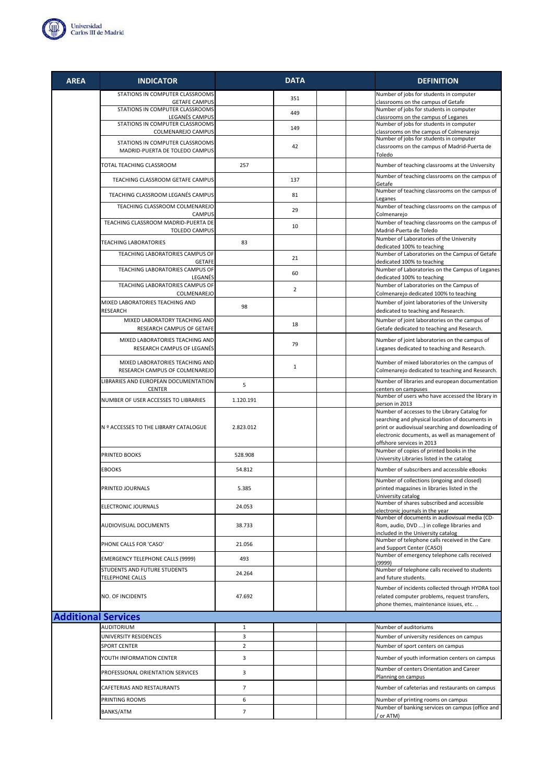

| <b>AREA</b>                | <b>INDICATOR</b>                                                  |                | <b>DATA</b>    | <b>DEFINITION</b>                                                                                                                                                                                                                    |
|----------------------------|-------------------------------------------------------------------|----------------|----------------|--------------------------------------------------------------------------------------------------------------------------------------------------------------------------------------------------------------------------------------|
|                            | STATIONS IN COMPUTER CLASSROOMS<br><b>GETAFE CAMPUS</b>           |                | 351            | Number of jobs for students in computer<br>classrooms on the campus of Getafe                                                                                                                                                        |
|                            | STATIONS IN COMPUTER CLASSROOMS                                   |                | 449            | Number of jobs for students in computer                                                                                                                                                                                              |
|                            | LEGANÉS CAMPUS<br>STATIONS IN COMPUTER CLASSROOMS                 |                | 149            | classrooms on the campus of Leganes<br>Number of jobs for students in computer                                                                                                                                                       |
|                            | COLMENAREJO CAMPUS                                                |                |                | classrooms on the campus of Colmenarejo<br>Number of jobs for students in computer                                                                                                                                                   |
|                            | STATIONS IN COMPUTER CLASSROOMS<br>MADRID-PUERTA DE TOLEDO CAMPUS |                | 42             | classrooms on the campus of Madrid-Puerta de<br>Toledo                                                                                                                                                                               |
|                            | TOTAL TEACHING CLASSROOM                                          | 257            |                | Number of teaching classrooms at the University                                                                                                                                                                                      |
|                            | TEACHING CLASSROOM GETAFE CAMPUS                                  |                | 137            | Number of teaching classrooms on the campus of<br>Getafe                                                                                                                                                                             |
|                            | TEACHING CLASSROOM LEGANÉS CAMPUS                                 |                | 81             | Number of teaching classrooms on the campus of<br>Leganes                                                                                                                                                                            |
|                            | TEACHING CLASSROOM COLMENAREJO<br><b>CAMPUS</b>                   |                | 29             | Number of teaching classrooms on the campus of<br>Colmenarejo                                                                                                                                                                        |
|                            | TEACHING CLASSROOM MADRID-PUERTA DE<br><b>TOLEDO CAMPUS</b>       |                | 10             | Number of teaching classrooms on the campus of<br>Madrid-Puerta de Toledo                                                                                                                                                            |
|                            | TEACHING LABORATORIES                                             | 83             |                | Number of Laboratories of the University<br>dedicated 100% to teaching                                                                                                                                                               |
|                            | TEACHING LABORATORIES CAMPUS OF                                   |                | 21             | Number of Laboratories on the Campus of Getafe                                                                                                                                                                                       |
|                            | <b>GETAFE</b><br>TEACHING LABORATORIES CAMPUS OF                  |                | 60             | dedicated 100% to teaching<br>Number of Laboratories on the Campus of Leganes                                                                                                                                                        |
|                            | LEGANÉS<br>TEACHING LABORATORIES CAMPUS OF                        |                |                | dedicated 100% to teaching<br>Number of Laboratories on the Campus of                                                                                                                                                                |
|                            | COLMENAREJO                                                       |                | $\overline{2}$ | Colmenarejo dedicated 100% to teaching                                                                                                                                                                                               |
|                            | MIXED LABORATORIES TEACHING AND<br>RESEARCH                       | 98             |                | Number of joint laboratories of the University<br>dedicated to teaching and Research.                                                                                                                                                |
|                            | MIXED LABORATORY TEACHING AND<br>RESEARCH CAMPUS OF GETAFE        |                | 18             | Number of joint laboratories on the campus of<br>Getafe dedicated to teaching and Research.                                                                                                                                          |
|                            | MIXED LABORATORIES TEACHING AND<br>RESEARCH CAMPUS OF LEGANÉS     |                | 79             | Number of joint laboratories on the campus of<br>Leganes dedicated to teaching and Research.                                                                                                                                         |
|                            | MIXED LABORATORIES TEACHING AND<br>RESEARCH CAMPUS OF COLMENAREJO |                | $\mathbf{1}$   | Number of mixed laboratories on the campus of<br>Colmenarejo dedicated to teaching and Research.                                                                                                                                     |
|                            | LIBRARIES AND EUROPEAN DOCUMENTATION<br><b>CENTER</b>             | 5              |                | Number of libraries and european documentation<br>centers on campuses                                                                                                                                                                |
|                            | NUMBER OF USER ACCESSES TO LIBRARIES                              | 1.120.191      |                | Number of users who have accessed the library in<br>person in 2013                                                                                                                                                                   |
|                            | N º ACCESSES TO THE LIBRARY CATALOGUE                             | 2.823.012      |                | Number of accesses to the Library Catalog for<br>searching and physical location of documents in<br>print or audiovisual searching and downloading of<br>electronic documents, as well as management of<br>offshore services in 2013 |
|                            | PRINTED BOOKS                                                     | 528.908        |                | Number of copies of printed books in the                                                                                                                                                                                             |
|                            | <b>EBOOKS</b>                                                     | 54.812         |                | University Libraries listed in the catalog<br>Number of subscribers and accessible eBooks                                                                                                                                            |
|                            | PRINTED JOURNALS                                                  | 5.385          |                | Number of collections (ongoing and closed)<br>printed magazines in libraries listed in the<br>University catalog                                                                                                                     |
|                            | ELECTRONIC JOURNALS                                               | 24.053         |                | Number of shares subscribed and accessible<br>electronic journals in the year                                                                                                                                                        |
|                            | AUDIOVISUAL DOCUMENTS                                             | 38.733         |                | Number of documents in audiovisual media (CD-<br>Rom, audio, DVD ) in college libraries and<br>included in the University catalog                                                                                                    |
|                            | PHONE CALLS FOR 'CASO'                                            | 21.056         |                | Number of telephone calls received in the Care<br>and Support Center (CASO)                                                                                                                                                          |
|                            | <b>EMERGENCY TELEPHONE CALLS (9999)</b>                           | 493            |                | Number of emergency telephone calls received<br>(9999)                                                                                                                                                                               |
|                            | STUDENTS AND FUTURE STUDENTS<br>TELEPHONE CALLS                   | 24.264         |                | Number of telephone calls received to students<br>and future students.                                                                                                                                                               |
|                            | NO. OF INCIDENTS                                                  | 47.692         |                | Number of incidents collected through HYDRA tool<br>related computer problems, request transfers,<br>phone themes, maintenance issues, etc                                                                                           |
| <b>Additional Services</b> |                                                                   |                |                |                                                                                                                                                                                                                                      |
|                            | AUDITORIUM                                                        | $\mathbf{1}$   |                | Number of auditoriums                                                                                                                                                                                                                |
|                            | UNIVERSITY RESIDENCES                                             | 3              |                | Number of university residences on campus                                                                                                                                                                                            |
|                            | <b>SPORT CENTER</b>                                               | $\overline{2}$ |                | Number of sport centers on campus                                                                                                                                                                                                    |
|                            | YOUTH INFORMATION CENTER                                          | 3              |                | Number of youth information centers on campus<br>Number of centers Orientation and Career                                                                                                                                            |
|                            | PROFESSIONAL ORIENTATION SERVICES                                 | 3              |                | Planning on campus                                                                                                                                                                                                                   |
|                            | CAFETERIAS AND RESTAURANTS                                        | $\overline{7}$ |                | Number of cafeterias and restaurants on campus                                                                                                                                                                                       |
|                            | PRINTING ROOMS                                                    | 6              |                | Number of printing rooms on campus<br>Number of banking services on campus (office and                                                                                                                                               |
|                            | BANKS/ATM                                                         | $\overline{7}$ |                | (or ATM)                                                                                                                                                                                                                             |